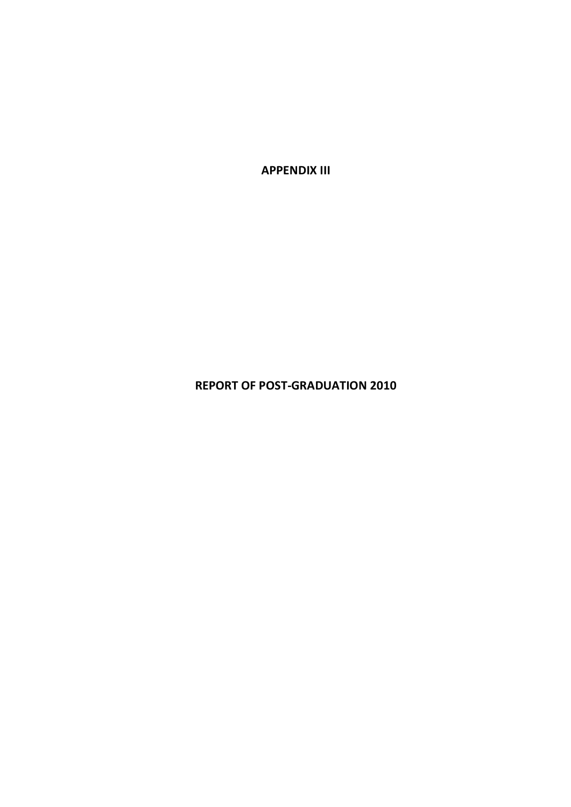**APPENDIX III**

**REPORT OF POST‐GRADUATION 2010**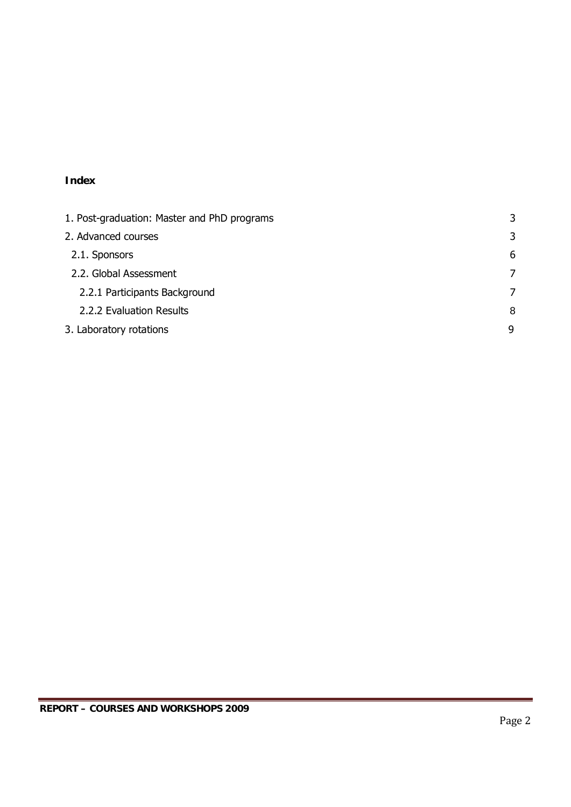# **Index**

| 1. Post-graduation: Master and PhD programs | 3 |
|---------------------------------------------|---|
| 2. Advanced courses                         | 3 |
| 2.1. Sponsors                               | 6 |
| 2.2. Global Assessment                      | 7 |
| 2.2.1 Participants Background               | 7 |
| 2.2.2 Evaluation Results                    | 8 |
| 3. Laboratory rotations                     | 9 |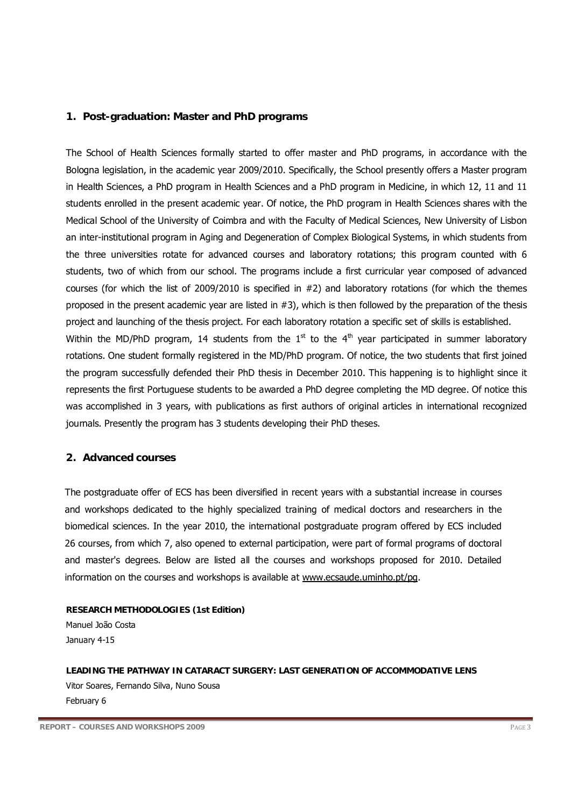#### **1. Post-graduation: Master and PhD programs**

The School of Health Sciences formally started to offer master and PhD programs, in accordance with the Bologna legislation, in the academic year 2009/2010. Specifically, the School presently offers a Master program in Health Sciences, a PhD program in Health Sciences and a PhD program in Medicine, in which 12, 11 and 11 students enrolled in the present academic year. Of notice, the PhD program in Health Sciences shares with the Medical School of the University of Coimbra and with the Faculty of Medical Sciences, New University of Lisbon an inter-institutional program in Aging and Degeneration of Complex Biological Systems, in which students from the three universities rotate for advanced courses and laboratory rotations; this program counted with 6 students, two of which from our school. The programs include a first curricular year composed of advanced courses (for which the list of 2009/2010 is specified in #2) and laboratory rotations (for which the themes proposed in the present academic year are listed in #3), which is then followed by the preparation of the thesis project and launching of the thesis project. For each laboratory rotation a specific set of skills is established. Within the MD/PhD program, 14 students from the  $1<sup>st</sup>$  to the  $4<sup>th</sup>$  year participated in summer laboratory rotations. One student formally registered in the MD/PhD program. Of notice, the two students that first joined the program successfully defended their PhD thesis in December 2010. This happening is to highlight since it represents the first Portuguese students to be awarded a PhD degree completing the MD degree. Of notice this was accomplished in 3 years, with publications as first authors of original articles in international recognized journals. Presently the program has 3 students developing their PhD theses.

### **2. Advanced courses**

The postgraduate offer of ECS has been diversified in recent years with a substantial increase in courses and workshops dedicated to the highly specialized training of medical doctors and researchers in the biomedical sciences. In the year 2010, the international postgraduate program offered by ECS included 26 courses, from which 7, also opened to external participation, were part of formal programs of doctoral and master's degrees. Below are listed all the courses and workshops proposed for 2010. Detailed information on the courses and workshops is available at www.ecsaude.uminho.pt/pg.

**RESEARCH METHODOLOGIES (1st Edition)** Manuel João Costa January 4-15

**LEADING THE PATHWAY IN CATARACT SURGERY: LAST GENERATION OF ACCOMMODATIVE LENS** Vitor Soares, Fernando Silva, Nuno Sousa February 6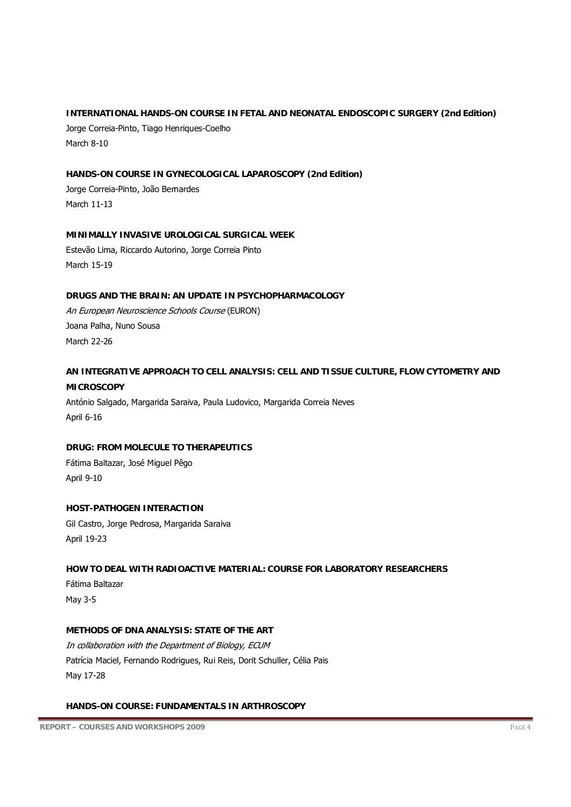# **INTERNATIONAL HANDS-ON COURSE IN FETAL AND NEONATAL ENDOSCOPIC SURGERY (2nd Edition)**

Jorge Correia-Pinto, Tiago Henriques-Coelho March 8-10

## **HANDS-ON COURSE IN GYNECOLOGICAL LAPAROSCOPY (2nd Edition)**

Jorge Correia-Pinto, João Bernardes March 11-13

### **MINIMALLY INVASIVE UROLOGICAL SURGICAL WEEK**

Estevão Lima, Riccardo Autorino, Jorge Correia Pinto March 15-19

### **DRUGS AND THE BRAIN: AN UPDATE IN PSYCHOPHARMACOLOGY**

An European Neuroscience Schools Course (EURON) Joana Palha, Nuno Sousa March 22-26

# **AN INTEGRATIVE APPROACH TO CELL ANALYSIS: CELL AND TISSUE CULTURE, FLOW CYTOMETRY AND MICROSCOPY**

António Salgado, Margarida Saraiva, Paula Ludovico, Margarida Correia Neves April 6-16

# **DRUG: FROM MOLECULE TO THERAPEUTICS**

Fátima Baltazar, José Miguel Pêgo April 9-10

### **HOST-PATHOGEN INTERACTION**

Gil Castro, Jorge Pedrosa, Margarida Saraiva April 19-23

# **HOW TO DEAL WITH RADIOACTIVE MATERIAL: COURSE FOR LABORATORY RESEARCHERS**

Fátima Baltazar May 3-5

### **METHODS OF DNA ANALYSIS: STATE OF THE ART**

In collaboration with the Department of Biology, ECUM Patrícia Maciel, Fernando Rodrigues, Rui Reis, Dorit Schuller, Célia Pais May 17-28

### **HANDS-ON COURSE: FUNDAMENTALS IN ARTHROSCOPY**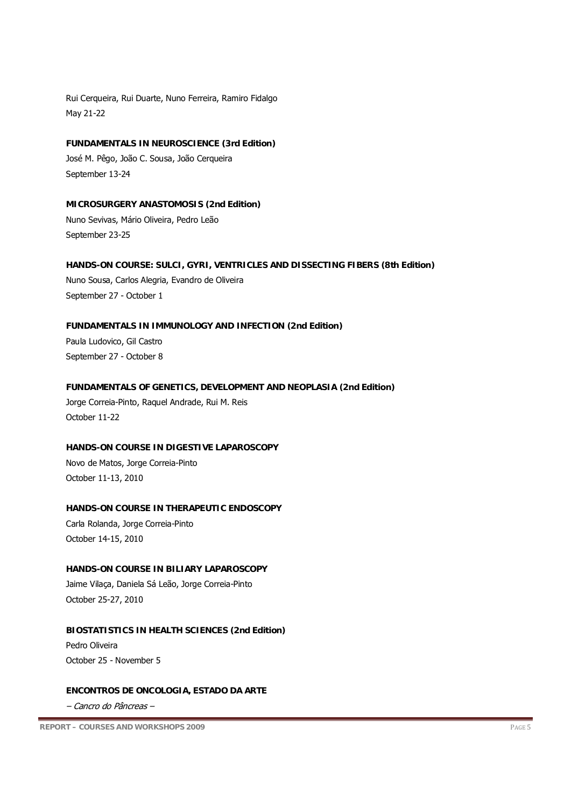Rui Cerqueira, Rui Duarte, Nuno Ferreira, Ramiro Fidalgo May 21-22

**FUNDAMENTALS IN NEUROSCIENCE (3rd Edition)** José M. Pêgo, João C. Sousa, João Cerqueira September 13-24

**MICROSURGERY ANASTOMOSIS (2nd Edition)** Nuno Sevivas, Mário Oliveira, Pedro Leão September 23-25

**HANDS-ON COURSE: SULCI, GYRI, VENTRICLES AND DISSECTING FIBERS (8th Edition)** Nuno Sousa, Carlos Alegria, Evandro de Oliveira September 27 - October 1

**FUNDAMENTALS IN IMMUNOLOGY AND INFECTION (2nd Edition)** Paula Ludovico, Gil Castro September 27 - October 8

**FUNDAMENTALS OF GENETICS, DEVELOPMENT AND NEOPLASIA (2nd Edition)**

Jorge Correia-Pinto, Raquel Andrade, Rui M. Reis October 11-22

**HANDS-ON COURSE IN DIGESTIVE LAPAROSCOPY** 

Novo de Matos, Jorge Correia-Pinto October 11-13, 2010

**HANDS-ON COURSE IN THERAPEUTIC ENDOSCOPY** 

Carla Rolanda, Jorge Correia-Pinto October 14-15, 2010

**HANDS-ON COURSE IN BILIARY LAPAROSCOPY** 

Jaime Vilaça, Daniela Sá Leão, Jorge Correia-Pinto October 25-27, 2010

#### **BIOSTATISTICS IN HEALTH SCIENCES (2nd Edition)**

Pedro Oliveira October 25 - November 5

#### **ENCONTROS DE ONCOLOGIA, ESTADO DA ARTE**

– Cancro do Pâncreas –

**REPORT – COURSES AND WORKSHOPS 2009** PAGE 5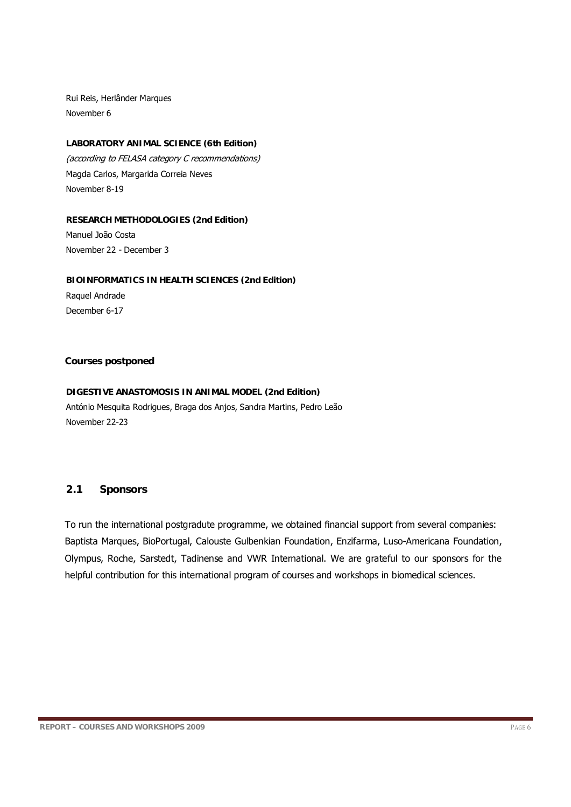Rui Reis, Herlânder Marques November 6

### **LABORATORY ANIMAL SCIENCE (6th Edition)**

(according to FELASA category C recommendations) Magda Carlos, Margarida Correia Neves November 8-19

### **RESEARCH METHODOLOGIES (2nd Edition)**

Manuel João Costa November 22 - December 3

## **BIOINFORMATICS IN HEALTH SCIENCES (2nd Edition)**

Raquel Andrade December 6-17

## **Courses postponed**

#### **DIGESTIVE ANASTOMOSIS IN ANIMAL MODEL (2nd Edition)**

António Mesquita Rodrigues, Braga dos Anjos, Sandra Martins, Pedro Leão November 22-23

# **2.1 Sponsors**

To run the international postgradute programme, we obtained financial support from several companies: Baptista Marques, BioPortugal, Calouste Gulbenkian Foundation, Enzifarma, Luso-Americana Foundation, Olympus, Roche, Sarstedt, Tadinense and VWR International. We are grateful to our sponsors for the helpful contribution for this international program of courses and workshops in biomedical sciences.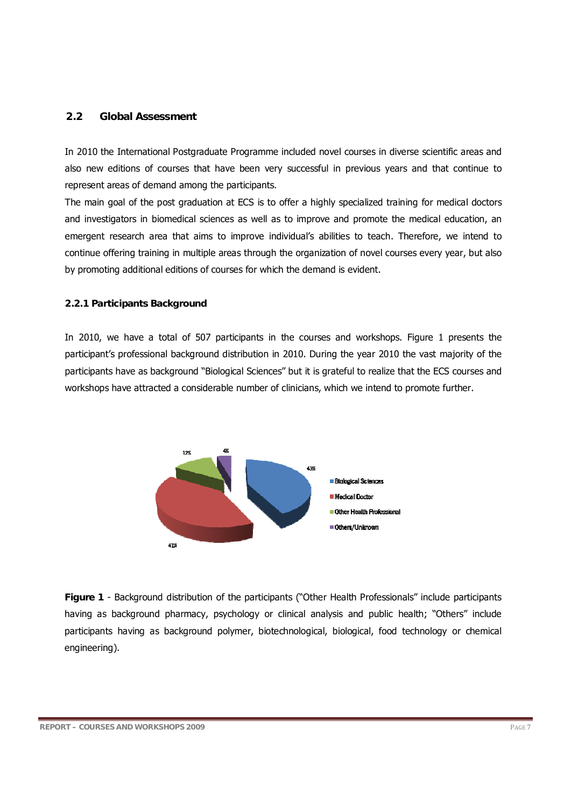### **2.2 Global Assessment**

In 2010 the International Postgraduate Programme included novel courses in diverse scientific areas and also new editions of courses that have been very successful in previous years and that continue to represent areas of demand among the participants.

The main goal of the post graduation at ECS is to offer a highly specialized training for medical doctors and investigators in biomedical sciences as well as to improve and promote the medical education, an emergent research area that aims to improve individual's abilities to teach. Therefore, we intend to continue offering training in multiple areas through the organization of novel courses every year, but also by promoting additional editions of courses for which the demand is evident.

### **2.2.1 Participants Background**

In 2010, we have a total of 507 participants in the courses and workshops. Figure 1 presents the participant's professional background distribution in 2010. During the year 2010 the vast majority of the participants have as background "Biological Sciences" but it is grateful to realize that the ECS courses and workshops have attracted a considerable number of clinicians, which we intend to promote further.



**Figure 1** - Background distribution of the participants ("Other Health Professionals" include participants having as background pharmacy, psychology or clinical analysis and public health; "Others" include participants having as background polymer, biotechnological, biological, food technology or chemical engineering).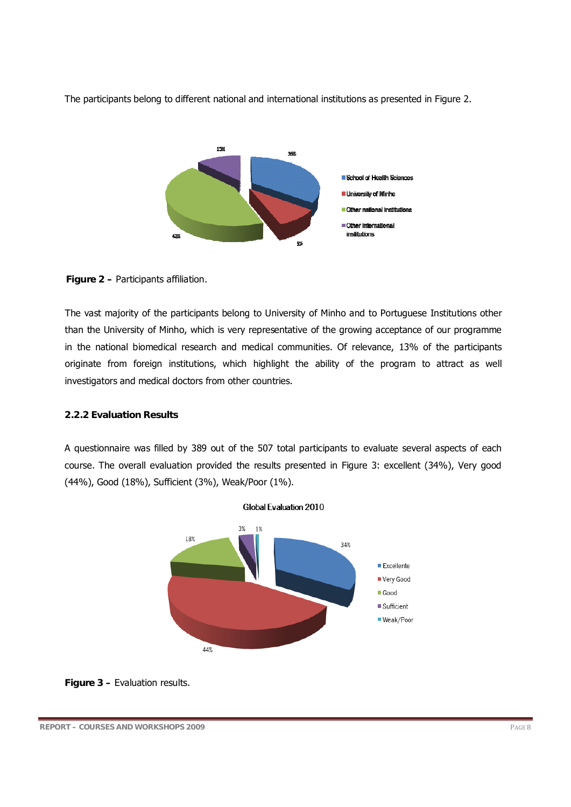

The participants belong to different national and international institutions as presented in Figure 2.

## **Figure 2 –** Participants affiliation.

The vast majority of the participants belong to University of Minho and to Portuguese Institutions other than the University of Minho, which is very representative of the growing acceptance of our programme in the national biomedical research and medical communities. Of relevance, 13% of the participants originate from foreign institutions, which highlight the ability of the program to attract as well investigators and medical doctors from other countries.

### **2.2.2 Evaluation Results**

A questionnaire was filled by 389 out of the 507 total participants to evaluate several aspects of each course. The overall evaluation provided the results presented in Figure 3: excellent (34%), Very good (44%), Good (18%), Sufficient (3%), Weak/Poor (1%).



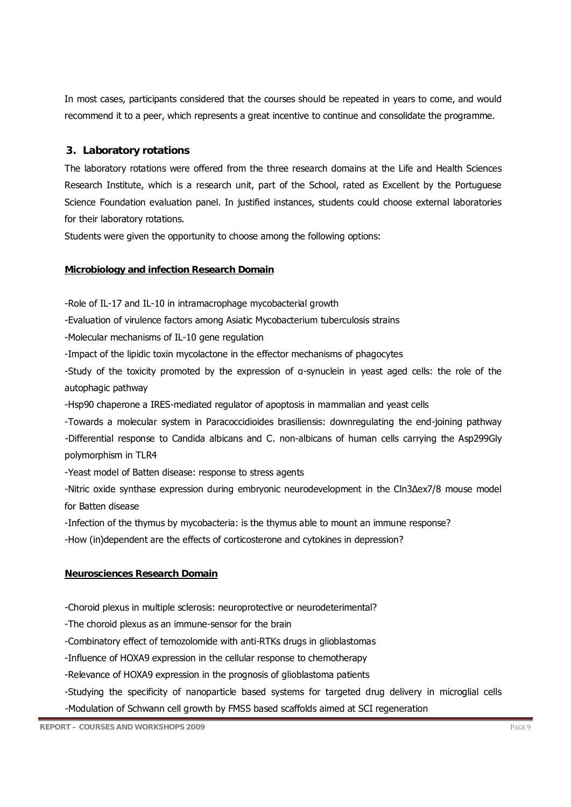In most cases, participants considered that the courses should be repeated in years to come, and would recommend it to a peer, which represents a great incentive to continue and consolidate the programme.

## **3. Laboratory rotations**

The laboratory rotations were offered from the three research domains at the Life and Health Sciences Research Institute, which is a research unit, part of the School, rated as Excellent by the Portuguese Science Foundation evaluation panel. In justified instances, students could choose external laboratories for their laboratory rotations.

Students were given the opportunity to choose among the following options:

## **Microbiology and infection Research Domain**

-Role of IL-17 and IL-10 in intramacrophage mycobacterial growth

-Evaluation of virulence factors among Asiatic Mycobacterium tuberculosis strains

-Molecular mechanisms of IL-10 gene regulation

-Impact of the lipidic toxin mycolactone in the effector mechanisms of phagocytes

-Study of the toxicity promoted by the expression of α-synuclein in yeast aged cells: the role of the autophagic pathway

-Hsp90 chaperone a IRES-mediated regulator of apoptosis in mammalian and yeast cells

-Towards a molecular system in Paracoccidioides brasiliensis: downregulating the end-joining pathway -Differential response to Candida albicans and C. non-albicans of human cells carrying the Asp299Gly polymorphism in TLR4

-Yeast model of Batten disease: response to stress agents

-Nitric oxide synthase expression during embryonic neurodevelopment in the Cln3∆ex7/8 mouse model for Batten disease

-Infection of the thymus by mycobacteria: is the thymus able to mount an immune response?

-How (in)dependent are the effects of corticosterone and cytokines in depression?

### **Neurosciences Research Domain**

-Choroid plexus in multiple sclerosis: neuroprotective or neurodeterimental?

-The choroid plexus as an immune-sensor for the brain

-Combinatory effect of temozolomide with anti-RTKs drugs in glioblastomas

-Influence of HOXA9 expression in the cellular response to chemotherapy

-Relevance of HOXA9 expression in the prognosis of glioblastoma patients

-Studying the specificity of nanoparticle based systems for targeted drug delivery in microglial cells -Modulation of Schwann cell growth by FMSS based scaffolds aimed at SCI regeneration